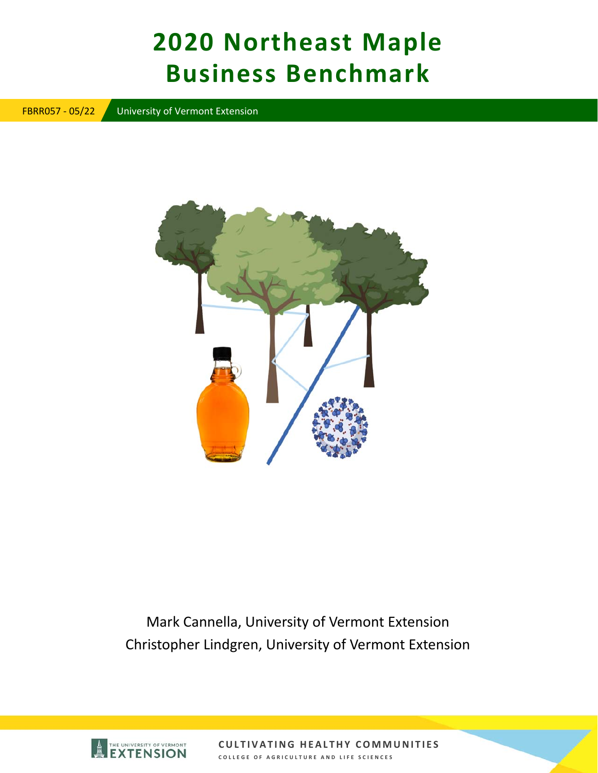# **2020 Northeast Maple Business Benchmark**

FBRR057 ‐ 05/22 University of Vermont Extension



Mark Cannella, University of Vermont Extension Christopher Lindgren, University of Vermont Extension

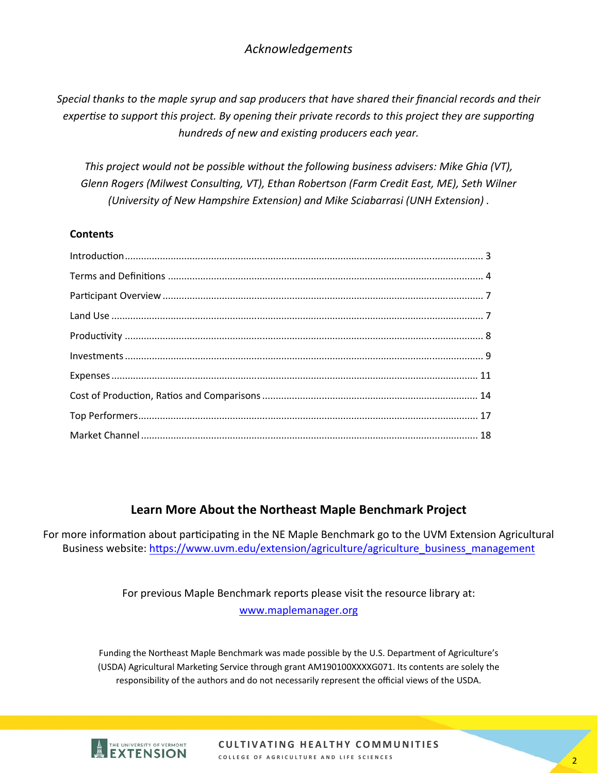# *Acknowledgements*

*Special thanks to the maple syrup and sap producers that have shared their financial records and their expertise to support this project. By opening their private records to this project they are supporting hundreds of new and exisƟng producers each year.* 

*This project would not be possible without the following business advisers: Mike Ghia (VT),*  Glenn Rogers (Milwest Consulting, VT), Ethan Robertson (Farm Credit East, ME), Seth Wilner *(University of New Hampshire Extension) and Mike Sciabarrasi (UNH Extension) .* 

#### **Contents**

#### **Learn More About the Northeast Maple Benchmark Project**

For more information about participating in the NE Maple Benchmark go to the UVM Extension Agricultural Business website: https://www.uvm.edu/extension/agriculture/agriculture\_business\_management

> For previous Maple Benchmark reports please visit the resource library at: www.maplemanager.org

Funding the Northeast Maple Benchmark was made possible by the U.S. Department of Agriculture's (USDA) Agricultural Marketing Service through grant AM190100XXXXG071. Its contents are solely the responsibility of the authors and do not necessarily represent the official views of the USDA.

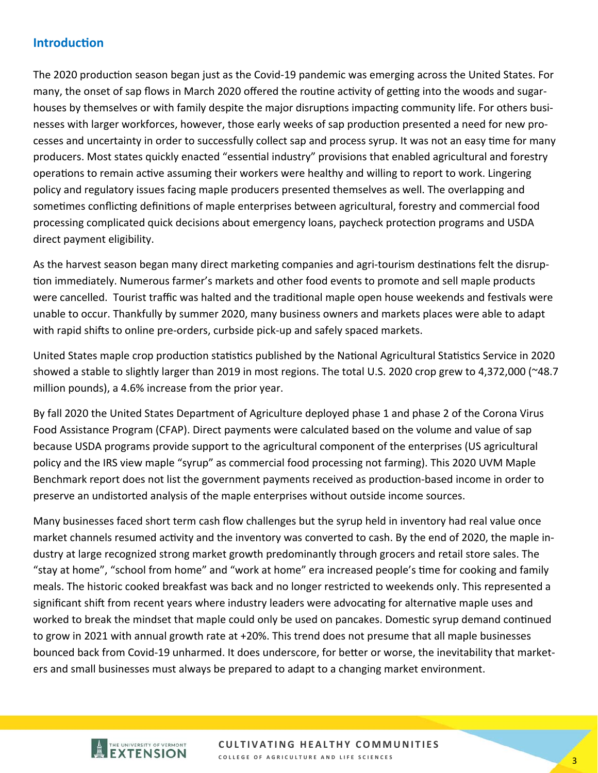# **IntroducƟon**

The 2020 production season began just as the Covid-19 pandemic was emerging across the United States. For many, the onset of sap flows in March 2020 offered the routine activity of getting into the woods and sugarhouses by themselves or with family despite the major disruptions impacting community life. For others businesses with larger workforces, however, those early weeks of sap production presented a need for new processes and uncertainty in order to successfully collect sap and process syrup. It was not an easy time for many producers. Most states quickly enacted "essential industry" provisions that enabled agricultural and forestry operations to remain active assuming their workers were healthy and willing to report to work. Lingering policy and regulatory issues facing maple producers presented themselves as well. The overlapping and sometimes conflicting definitions of maple enterprises between agricultural, forestry and commercial food processing complicated quick decisions about emergency loans, paycheck protection programs and USDA direct payment eligibility.

As the harvest season began many direct marketing companies and agri-tourism destinations felt the disruption immediately. Numerous farmer's markets and other food events to promote and sell maple products were cancelled. Tourist traffic was halted and the traditional maple open house weekends and festivals were unable to occur. Thankfully by summer 2020, many business owners and markets places were able to adapt with rapid shifts to online pre-orders, curbside pick-up and safely spaced markets.

United States maple crop production statistics published by the National Agricultural Statistics Service in 2020 showed a stable to slightly larger than 2019 in most regions. The total U.S. 2020 crop grew to 4,372,000 (~48.7 million pounds), a 4.6% increase from the prior year.

By fall 2020 the United States Department of Agriculture deployed phase 1 and phase 2 of the Corona Virus Food Assistance Program (CFAP). Direct payments were calculated based on the volume and value of sap because USDA programs provide support to the agricultural component of the enterprises (US agricultural policy and the IRS view maple "syrup" as commercial food processing not farming). This 2020 UVM Maple Benchmark report does not list the government payments received as production-based income in order to preserve an undistorted analysis of the maple enterprises without outside income sources.

Many businesses faced short term cash flow challenges but the syrup held in inventory had real value once market channels resumed activity and the inventory was converted to cash. By the end of 2020, the maple industry at large recognized strong market growth predominantly through grocers and retail store sales. The "stay at home", "school from home" and "work at home" era increased people's time for cooking and family meals. The historic cooked breakfast was back and no longer restricted to weekends only. This represented a significant shift from recent years where industry leaders were advocating for alternative maple uses and worked to break the mindset that maple could only be used on pancakes. Domestic syrup demand continued to grow in 2021 with annual growth rate at +20%. This trend does not presume that all maple businesses bounced back from Covid-19 unharmed. It does underscore, for better or worse, the inevitability that marketers and small businesses must always be prepared to adapt to a changing market environment.

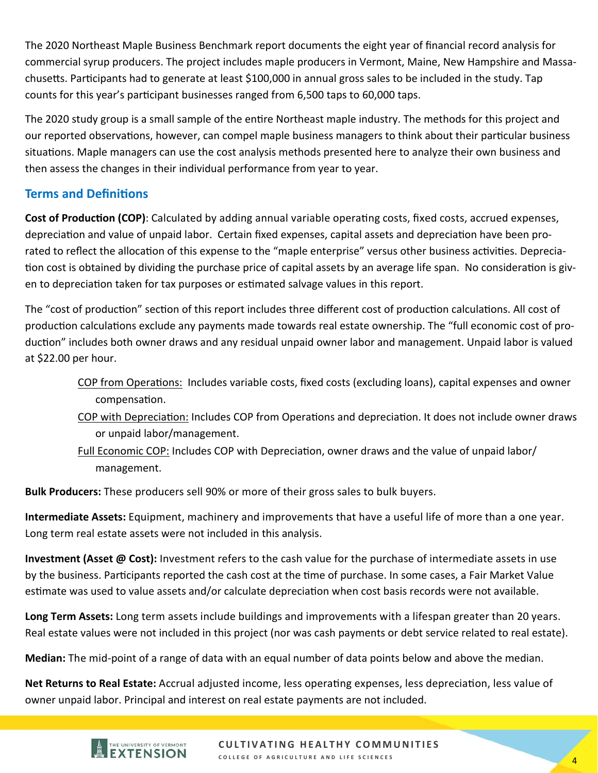The 2020 Northeast Maple Business Benchmark report documents the eight year of financial record analysis for commercial syrup producers. The project includes maple producers in Vermont, Maine, New Hampshire and Massa‐ chusetts. Participants had to generate at least \$100,000 in annual gross sales to be included in the study. Tap counts for this year's participant businesses ranged from 6,500 taps to 60,000 taps.

The 2020 study group is a small sample of the entire Northeast maple industry. The methods for this project and our reported observations, however, can compel maple business managers to think about their particular business situations. Maple managers can use the cost analysis methods presented here to analyze their own business and then assess the changes in their individual performance from year to year.

# **Terms and DefiniƟons**

**Cost of Production (COP)**: Calculated by adding annual variable operating costs, fixed costs, accrued expenses, depreciation and value of unpaid labor. Certain fixed expenses, capital assets and depreciation have been prorated to reflect the allocation of this expense to the "maple enterprise" versus other business activities. Depreciation cost is obtained by dividing the purchase price of capital assets by an average life span. No consideration is given to depreciation taken for tax purposes or estimated salvage values in this report.

The "cost of production" section of this report includes three different cost of production calculations. All cost of production calculations exclude any payments made towards real estate ownership. The "full economic cost of production" includes both owner draws and any residual unpaid owner labor and management. Unpaid labor is valued at \$22.00 per hour.

- COP from OperaƟons: Includes variable costs, fixed costs (excluding loans), capital expenses and owner compensaƟon.
- COP with Depreciation: Includes COP from Operations and depreciation. It does not include owner draws or unpaid labor/management.
- Full Economic COP: Includes COP with Depreciation, owner draws and the value of unpaid labor/ management.

**Bulk Producers:** These producers sell 90% or more of their gross sales to bulk buyers.

**Intermediate Assets:** Equipment, machinery and improvements that have a useful life of more than a one year. Long term real estate assets were not included in this analysis.

**Investment (Asset @ Cost):** Investment refers to the cash value for the purchase of intermediate assets in use by the business. Participants reported the cash cost at the time of purchase. In some cases, a Fair Market Value estimate was used to value assets and/or calculate depreciation when cost basis records were not available.

**Long Term Assets:** Long term assets include buildings and improvements with a lifespan greater than 20 years. Real estate values were not included in this project (nor was cash payments or debt service related to real estate).

**Median:** The mid‐point of a range of data with an equal number of data points below and above the median.

**Net Returns to Real Estate:** Accrual adjusted income, less operating expenses, less depreciation, less value of owner unpaid labor. Principal and interest on real estate payments are not included.

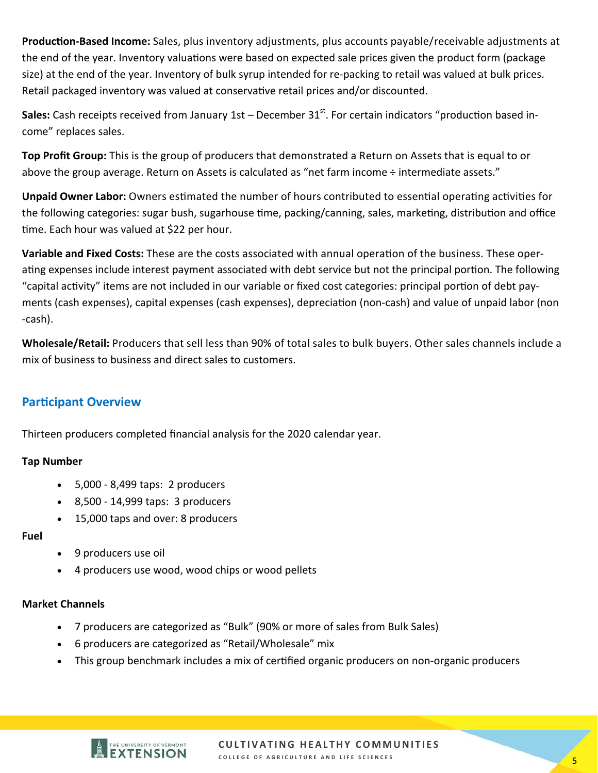Production-Based Income: Sales, plus inventory adjustments, plus accounts payable/receivable adjustments at the end of the year. Inventory valuations were based on expected sale prices given the product form (package size) at the end of the year. Inventory of bulk syrup intended for re‐packing to retail was valued at bulk prices. Retail packaged inventory was valued at conservative retail prices and/or discounted.

**Sales:** Cash receipts received from January 1st – December 31<sup>st</sup>. For certain indicators "production based income" replaces sales.

**Top Profit Group:** This is the group of producers that demonstrated a Return on Assets that is equal to or above the group average. Return on Assets is calculated as "net farm income ÷ intermediate assets."

**Unpaid Owner Labor:** Owners estimated the number of hours contributed to essential operating activities for the following categories: sugar bush, sugarhouse time, packing/canning, sales, marketing, distribution and office time. Each hour was valued at \$22 per hour.

**Variable and Fixed Costs:** These are the costs associated with annual operation of the business. These operating expenses include interest payment associated with debt service but not the principal portion. The following "capital activity" items are not included in our variable or fixed cost categories: principal portion of debt payments (cash expenses), capital expenses (cash expenses), depreciation (non-cash) and value of unpaid labor (non ‐cash).

**Wholesale/Retail:** Producers that sell less than 90% of total sales to bulk buyers. Other sales channels include a mix of business to business and direct sales to customers.

# **Participant Overview**

Thirteen producers completed financial analysis for the 2020 calendar year.

#### **Tap Number**

- 5,000 ‐ 8,499 taps: 2 producers
- 8,500 ‐ 14,999 taps: 3 producers
- 15,000 taps and over: 8 producers

#### **Fuel**

- 9 producers use oil
- 4 producers use wood, wood chips or wood pellets

#### **Market Channels**

- 7 producers are categorized as "Bulk" (90% or more of sales from Bulk Sales)
- 6 producers are categorized as "Retail/Wholesale" mix
- This group benchmark includes a mix of certified organic producers on non-organic producers

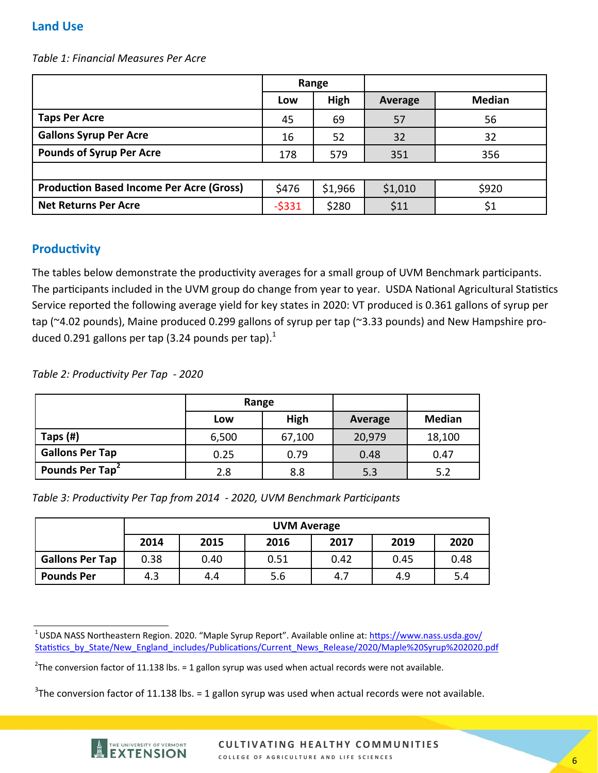# **Land Use**

*Table 1: Financial Measures Per Acre* 

|                                                 | Range   |         |         |               |
|-------------------------------------------------|---------|---------|---------|---------------|
|                                                 | Low     | High    | Average | <b>Median</b> |
| <b>Taps Per Acre</b>                            | 45      | 69      | 57      | 56            |
| <b>Gallons Syrup Per Acre</b>                   | 16      | 52      | 32      | 32            |
| <b>Pounds of Syrup Per Acre</b>                 | 178     | 579     | 351     | 356           |
|                                                 |         |         |         |               |
| <b>Production Based Income Per Acre (Gross)</b> | \$476   | \$1,966 | \$1,010 | \$920         |
| <b>Net Returns Per Acre</b>                     | $-5331$ | \$280   | \$11    | \$1           |

## **Productivity**

The tables below demonstrate the productivity averages for a small group of UVM Benchmark participants. The participants included in the UVM group do change from year to year. USDA National Agricultural Statistics Service reported the following average yield for key states in 2020: VT produced is 0.361 gallons of syrup per tap (~4.02 pounds), Maine produced 0.299 gallons of syrup per tap (~3.33 pounds) and New Hampshire produced 0.291 gallons per tap (3.24 pounds per tap). $<sup>1</sup>$ </sup>

*Table 2: ProducƟvity Per Tap ‐ 2020* 

|                             | Range |        |         |               |
|-----------------------------|-------|--------|---------|---------------|
|                             | Low   | High   | Average | <b>Median</b> |
| Taps (#)                    | 6,500 | 67,100 | 20,979  | 18,100        |
| <b>Gallons Per Tap</b>      | 0.25  | 0.79   | 0.48    | 0.47          |
| Pounds Per Tap <sup>2</sup> | 2.8   | 8.8    | 5.3     | 5.2           |

*Table 3: Productivity Per Tap from 2014 - 2020, UVM Benchmark Participants* 

|                        | <b>UVM Average</b>                           |      |      |      |      |      |  |
|------------------------|----------------------------------------------|------|------|------|------|------|--|
|                        | 2017<br>2019<br>2014<br>2016<br>2020<br>2015 |      |      |      |      |      |  |
| <b>Gallons Per Tap</b> | 0.38                                         | 0.40 | 0.51 | 0.42 | 0.45 | 0.48 |  |
| <b>Pounds Per</b>      | 4.3                                          | 4.4  | 5.6  | 4.7  | 4.9  | 5.4  |  |

 $3$ The conversion factor of 11.138 lbs. = 1 gallon syrup was used when actual records were not available.



<sup>&</sup>lt;sup>1</sup> USDA NASS Northeastern Region. 2020. "Maple Syrup Report". Available online at: https://www.nass.usda.gov/ Statistics\_by\_State/New\_England\_includes/Publications/Current\_News\_Release/2020/Maple%20Syrup%202020.pdf

<sup>&</sup>lt;sup>2</sup>The conversion factor of 11.138 lbs. = 1 gallon syrup was used when actual records were not available.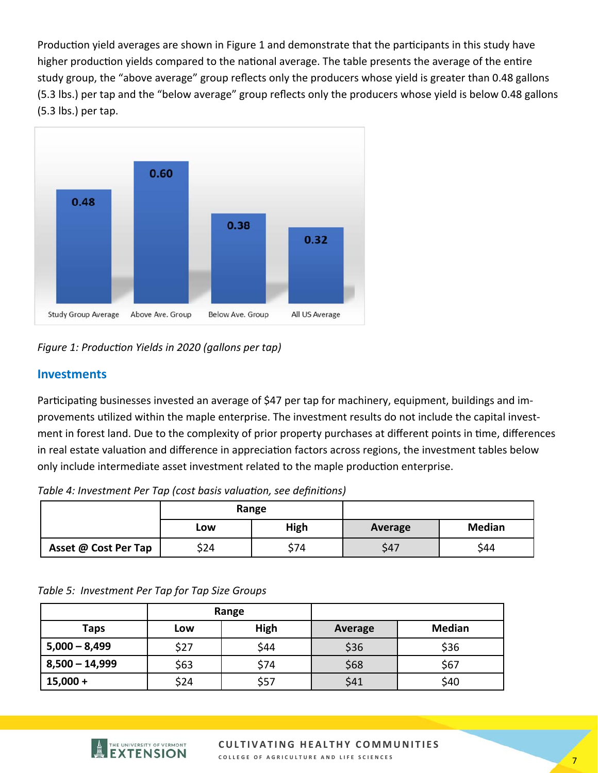Production yield averages are shown in Figure 1 and demonstrate that the participants in this study have higher production yields compared to the national average. The table presents the average of the entire study group, the "above average" group reflects only the producers whose yield is greater than 0.48 gallons (5.3 lbs.) per tap and the "below average" group reflects only the producers whose yield is below 0.48 gallons (5.3 lbs.) per tap.



Figure 1: Production Yields in 2020 (gallons per tap)

## **Investments**

Participating businesses invested an average of \$47 per tap for machinery, equipment, buildings and improvements uƟlized within the maple enterprise. The investment results do not include the capital invest‐ ment in forest land. Due to the complexity of prior property purchases at different points in time, differences in real estate valuation and difference in appreciation factors across regions, the investment tables below only include intermediate asset investment related to the maple production enterprise.

Table 4: Investment Per Tap (cost basis valuation, see definitions)

|                      |      | Range       |         |               |
|----------------------|------|-------------|---------|---------------|
|                      | Low  | <b>High</b> | Average | <b>Median</b> |
| Asset @ Cost Per Tap | \$24 | \$74        | \$47    | \$44          |

#### *Table 5: Investment Per Tap for Tap Size Groups*

|                  |             | Range |         |               |
|------------------|-------------|-------|---------|---------------|
| <b>Taps</b>      | High<br>Low |       | Average | <b>Median</b> |
| $5,000 - 8,499$  | \$27        | \$44  | \$36    | \$36          |
| $8,500 - 14,999$ | \$63        | \$74  | \$68    | \$67          |
| $15,000 +$       | \$24        | \$57  | \$41    | \$40          |

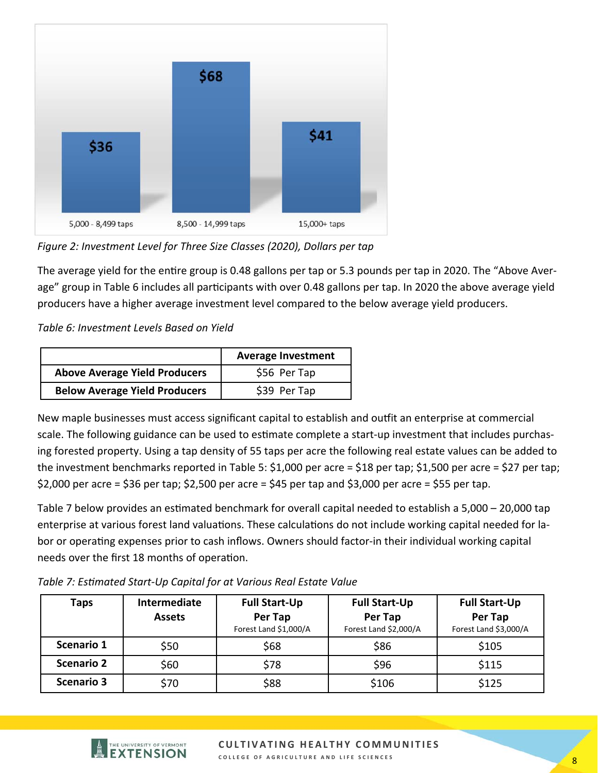

*Figure 2: Investment Level for Three Size Classes (2020), Dollars per tap* 

The average yield for the entire group is 0.48 gallons per tap or 5.3 pounds per tap in 2020. The "Above Average" group in Table 6 includes all participants with over 0.48 gallons per tap. In 2020 the above average yield producers have a higher average investment level compared to the below average yield producers.

*Table 6: Investment Levels Based on Yield* 

|                                      | <b>Average Investment</b> |
|--------------------------------------|---------------------------|
| <b>Above Average Yield Producers</b> | \$56 Per Tap              |
| <b>Below Average Yield Producers</b> | \$39 Per Tap              |

New maple businesses must access significant capital to establish and outfit an enterprise at commercial scale. The following guidance can be used to estimate complete a start-up investment that includes purchasing forested property. Using a tap density of 55 taps per acre the following real estate values can be added to the investment benchmarks reported in Table 5: \$1,000 per acre = \$18 per tap; \$1,500 per acre = \$27 per tap;  $$2,000$  per acre =  $$36$  per tap;  $$2,500$  per acre =  $$45$  per tap and  $$3,000$  per acre =  $$55$  per tap.

Table 7 below provides an estimated benchmark for overall capital needed to establish a 5,000 – 20,000 tap enterprise at various forest land valuations. These calculations do not include working capital needed for labor or operaƟng expenses prior to cash inflows. Owners should factor‐in their individual working capital needs over the first 18 months of operation.

| Taps              | <b>Intermediate</b><br><b>Assets</b> | <b>Full Start-Up</b><br>Per Tap<br>Forest Land \$1,000/A | <b>Full Start-Up</b><br>Per Tap<br>Forest Land \$2,000/A | <b>Full Start-Up</b><br>Per Tap<br>Forest Land \$3,000/A |
|-------------------|--------------------------------------|----------------------------------------------------------|----------------------------------------------------------|----------------------------------------------------------|
| Scenario 1        | \$50                                 | \$68                                                     | \$86                                                     | \$105                                                    |
| <b>Scenario 2</b> | \$60                                 | \$78                                                     | \$96                                                     | \$115                                                    |
| <b>Scenario 3</b> | \$70                                 | \$88                                                     | \$106                                                    | \$125                                                    |

*Table 7: EsƟmated Start‐Up Capital for at Various Real Estate Value*

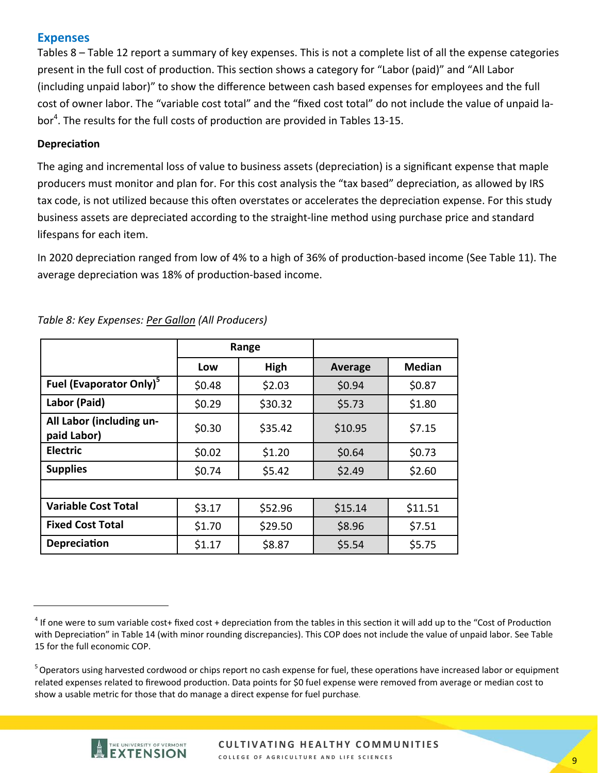## **Expenses**

Tables 8 – Table 12 report a summary of key expenses. This is not a complete list of all the expense categories present in the full cost of production. This section shows a category for "Labor (paid)" and "All Labor (including unpaid labor)" to show the difference between cash based expenses for employees and the full cost of owner labor. The "variable cost total" and the "fixed cost total" do not include the value of unpaid la‐ bor<sup>4</sup>. The results for the full costs of production are provided in Tables 13-15.

#### **DepreciaƟon**

The aging and incremental loss of value to business assets (depreciation) is a significant expense that maple producers must monitor and plan for. For this cost analysis the "tax based" depreciation, as allowed by IRS tax code, is not utilized because this often overstates or accelerates the depreciation expense. For this study business assets are depreciated according to the straight‐line method using purchase price and standard lifespans for each item.

In 2020 depreciation ranged from low of 4% to a high of 36% of production-based income (See Table 11). The average depreciation was 18% of production-based income.

|                                         |        | Range   |                |               |
|-----------------------------------------|--------|---------|----------------|---------------|
|                                         | Low    | High    | <b>Average</b> | <b>Median</b> |
| Fuel (Evaporator Only) <sup>5</sup>     | \$0.48 | \$2.03  | \$0.94         | \$0.87        |
| Labor (Paid)                            | \$0.29 | \$30.32 | \$5.73         | \$1.80        |
| All Labor (including un-<br>paid Labor) | \$0.30 | \$35.42 | \$10.95        | \$7.15        |
| <b>Electric</b>                         | \$0.02 | \$1.20  | \$0.64         | \$0.73        |
| <b>Supplies</b>                         | \$0.74 | \$5.42  | \$2.49         | \$2.60        |
|                                         |        |         |                |               |
| <b>Variable Cost Total</b>              | \$3.17 | \$52.96 | \$15.14        | \$11.51       |
| <b>Fixed Cost Total</b>                 | \$1.70 | \$29.50 | \$8.96         | \$7.51        |
| <b>Depreciation</b>                     | \$1.17 | \$8.87  | \$5.54         | \$5.75        |

*Table 8: Key Expenses: Per Gallon (All Producers)* 

<sup>&</sup>lt;sup>5</sup> Operators using harvested cordwood or chips report no cash expense for fuel, these operations have increased labor or equipment related expenses related to firewood production. Data points for \$0 fuel expense were removed from average or median cost to show a usable metric for those that do manage a direct expense for fuel purchase.



 $4$  If one were to sum variable cost+ fixed cost + depreciation from the tables in this section it will add up to the "Cost of Production with Depreciation" in Table 14 (with minor rounding discrepancies). This COP does not include the value of unpaid labor. See Table 15 for the full economic COP.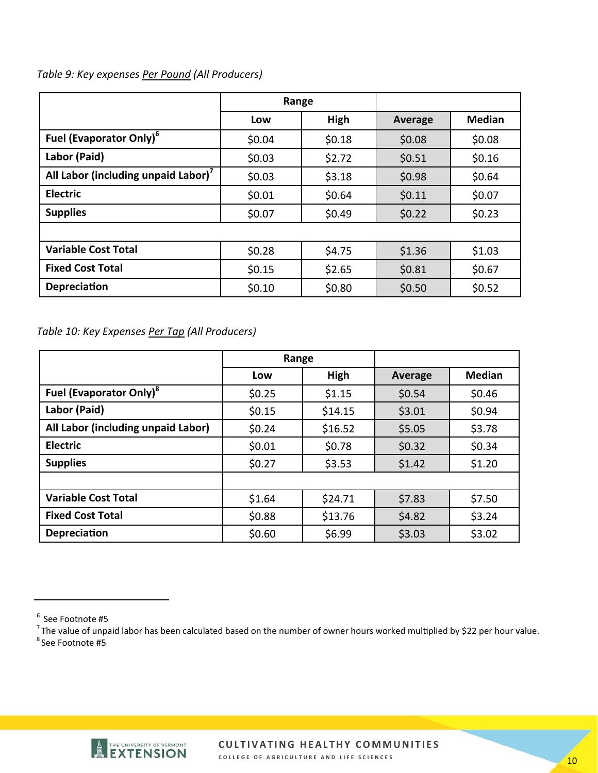#### *Table 9: Key expenses Per Pound (All Producers)*

|                                     | Range  |        |         |               |
|-------------------------------------|--------|--------|---------|---------------|
|                                     | Low    | High   | Average | <b>Median</b> |
| Fuel (Evaporator Only) <sup>6</sup> | \$0.04 | \$0.18 | \$0.08  | \$0.08        |
| Labor (Paid)                        | \$0.03 | \$2.72 | \$0.51  | \$0.16        |
| All Labor (including unpaid Labor)' | \$0.03 | \$3.18 | \$0.98  | \$0.64        |
| <b>Electric</b>                     | \$0.01 | \$0.64 | \$0.11  | \$0.07        |
| <b>Supplies</b>                     | \$0.07 | \$0.49 | \$0.22  | \$0.23        |
|                                     |        |        |         |               |
| <b>Variable Cost Total</b>          | \$0.28 | \$4.75 | \$1.36  | \$1.03        |
| <b>Fixed Cost Total</b>             | \$0.15 | \$2.65 | \$0.81  | \$0.67        |
| <b>Depreciation</b>                 | \$0.10 | \$0.80 | \$0.50  | \$0.52        |

*Table 10: Key Expenses Per Tap (All Producers)* 

|                                            | Range  |         |         |               |
|--------------------------------------------|--------|---------|---------|---------------|
|                                            | Low    | High    | Average | <b>Median</b> |
| <b>Fuel (Evaporator Only)</b> <sup>8</sup> | \$0.25 | \$1.15  | \$0.54  | \$0.46        |
| Labor (Paid)                               | \$0.15 | \$14.15 | \$3.01  | \$0.94        |
| All Labor (including unpaid Labor)         | \$0.24 | \$16.52 | \$5.05  | \$3.78        |
| <b>Electric</b>                            | \$0.01 | \$0.78  | \$0.32  | \$0.34        |
| <b>Supplies</b>                            | \$0.27 | \$3.53  | \$1.42  | \$1.20        |
|                                            |        |         |         |               |
| <b>Variable Cost Total</b>                 | \$1.64 | \$24.71 | \$7.83  | \$7.50        |
| <b>Fixed Cost Total</b>                    | \$0.88 | \$13.76 | \$4.82  | \$3.24        |
| <b>Depreciation</b>                        | \$0.60 | \$6.99  | \$3.03  | \$3.02        |



 $6$  See Footnote #5

Figure 1 Sectroctives in the value of unpaid labor has been calculated based on the number of owner hours worked multiplied by \$22 per hour value. <sup>8</sup> See Footnote #5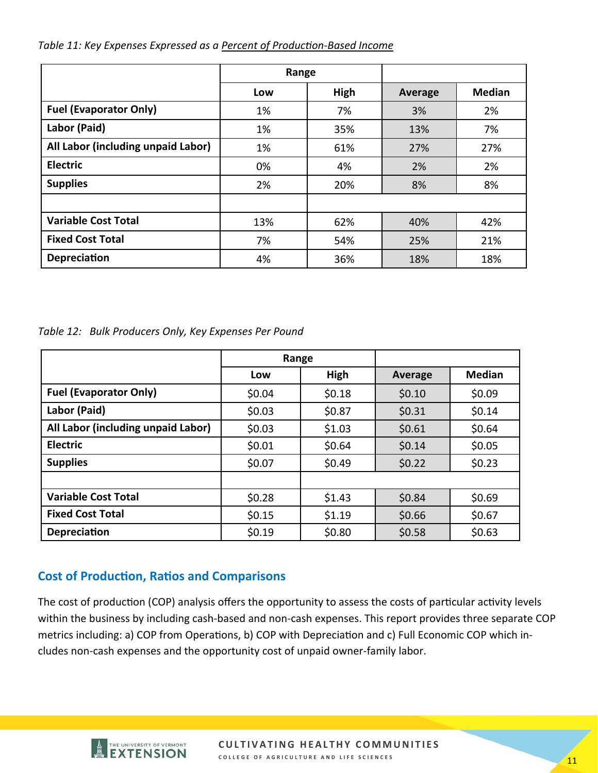|                                    | Range |      |                |               |
|------------------------------------|-------|------|----------------|---------------|
|                                    | Low   | High | <b>Average</b> | <b>Median</b> |
| <b>Fuel (Evaporator Only)</b>      | 1%    | 7%   | 3%             | 2%            |
| Labor (Paid)                       | 1%    | 35%  | 13%            | 7%            |
| All Labor (including unpaid Labor) | 1%    | 61%  | 27%            | 27%           |
| <b>Electric</b>                    | 0%    | 4%   | 2%             | 2%            |
| <b>Supplies</b>                    | 2%    | 20%  | 8%             | 8%            |
|                                    |       |      |                |               |
| <b>Variable Cost Total</b>         | 13%   | 62%  | 40%            | 42%           |
| <b>Fixed Cost Total</b>            | 7%    | 54%  | 25%            | 21%           |
| Depreciation                       | 4%    | 36%  | 18%            | 18%           |

#### Table 11: Key Expenses Expressed as a Percent of Production-Based Income

*Table 12: Bulk Producers Only, Key Expenses Per Pound* 

|                                    |        | Range  |         |               |
|------------------------------------|--------|--------|---------|---------------|
|                                    | Low    | High   | Average | <b>Median</b> |
| <b>Fuel (Evaporator Only)</b>      | \$0.04 | \$0.18 | \$0.10  | \$0.09        |
| Labor (Paid)                       | \$0.03 | \$0.87 | \$0.31  | \$0.14        |
| All Labor (including unpaid Labor) | \$0.03 | \$1.03 | \$0.61  | \$0.64        |
| <b>Electric</b>                    | \$0.01 | \$0.64 | \$0.14  | \$0.05        |
| <b>Supplies</b>                    | \$0.07 | \$0.49 | \$0.22  | \$0.23        |
|                                    |        |        |         |               |
| <b>Variable Cost Total</b>         | \$0.28 | \$1.43 | \$0.84  | \$0.69        |
| <b>Fixed Cost Total</b>            | \$0.15 | \$1.19 | \$0.66  | \$0.67        |
| <b>Depreciation</b>                | \$0.19 | \$0.80 | \$0.58  | \$0.63        |

# **Cost of Production, Ratios and Comparisons**

The cost of production (COP) analysis offers the opportunity to assess the costs of particular activity levels within the business by including cash‐based and non‐cash expenses. This report provides three separate COP metrics including: a) COP from Operations, b) COP with Depreciation and c) Full Economic COP which includes non‐cash expenses and the opportunity cost of unpaid owner‐family labor.

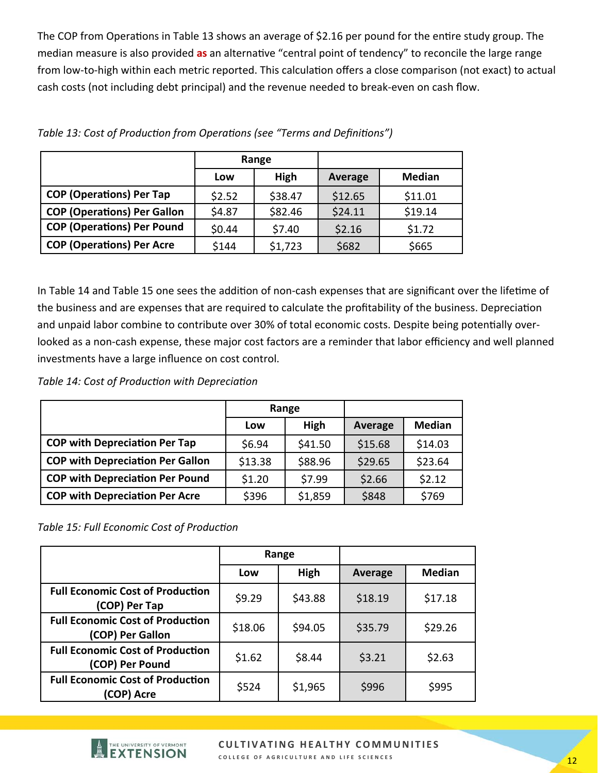The COP from Operations in Table 13 shows an average of \$2.16 per pound for the entire study group. The median measure is also provided as an alternative "central point of tendency" to reconcile the large range from low-to-high within each metric reported. This calculation offers a close comparison (not exact) to actual cash costs (not including debt principal) and the revenue needed to break‐even on cash flow.

|                                    | Range  |         |                |               |
|------------------------------------|--------|---------|----------------|---------------|
|                                    | Low    | High    | <b>Average</b> | <b>Median</b> |
| <b>COP (Operations) Per Tap</b>    | \$2.52 | \$38.47 | \$12.65        | \$11.01       |
| <b>COP (Operations) Per Gallon</b> | \$4.87 | \$82.46 | \$24.11        | \$19.14       |
| <b>COP (Operations) Per Pound</b>  | \$0.44 | \$7.40  | \$2.16         | \$1.72        |
| <b>COP (Operations) Per Acre</b>   | \$144  | \$1,723 | \$682          | \$665         |

Table 13: Cost of Production from Operations (see "Terms and Definitions")

In Table 14 and Table 15 one sees the addition of non-cash expenses that are significant over the lifetime of the business and are expenses that are required to calculate the profitability of the business. Depreciation and unpaid labor combine to contribute over 30% of total economic costs. Despite being potentially overlooked as a non-cash expense, these major cost factors are a reminder that labor efficiency and well planned investments have a large influence on cost control.

*Table 14: Cost of ProducƟon with DepreciaƟon* 

|                                         |         | Range   |         |               |
|-----------------------------------------|---------|---------|---------|---------------|
|                                         | Low     | High    | Average | <b>Median</b> |
| <b>COP with Depreciation Per Tap</b>    | \$6.94  | \$41.50 | \$15.68 | \$14.03       |
| <b>COP with Depreciation Per Gallon</b> | \$13.38 | \$88.96 | \$29.65 | \$23.64       |
| <b>COP with Depreciation Per Pound</b>  | \$1.20  | \$7.99  | \$2.66  | \$2.12        |
| <b>COP with Depreciation Per Acre</b>   | \$396   | \$1,859 | \$848   | \$769         |

# **Table 15: Full Economic Cost of Production**

|                                                             | Range   |         |         |               |
|-------------------------------------------------------------|---------|---------|---------|---------------|
|                                                             | Low     | High    | Average | <b>Median</b> |
| <b>Full Economic Cost of Production</b><br>(COP) Per Tap    | \$9.29  | \$43.88 | \$18.19 | \$17.18       |
| <b>Full Economic Cost of Production</b><br>(COP) Per Gallon | \$18.06 | \$94.05 | \$35.79 | \$29.26       |
| <b>Full Economic Cost of Production</b><br>(COP) Per Pound  | \$1.62  | \$8.44  | \$3.21  | \$2.63        |
| <b>Full Economic Cost of Production</b><br>(COP) Acre       | \$524   | \$1,965 | \$996   | \$995         |

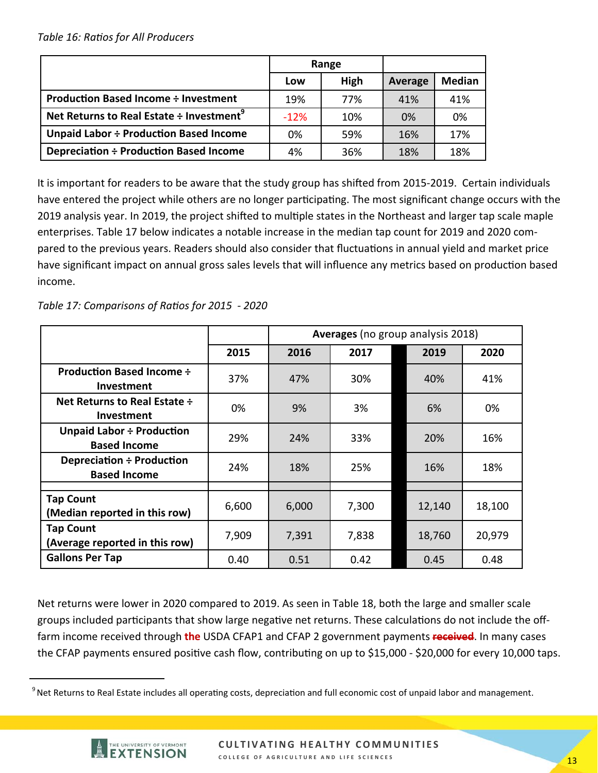|                                                      | Range  |      |         |               |
|------------------------------------------------------|--------|------|---------|---------------|
|                                                      | Low    | High | Average | <b>Median</b> |
| <b>Production Based Income ÷ Investment</b>          | 19%    | 77%  | 41%     | 41%           |
| Net Returns to Real Estate ÷ Investment <sup>9</sup> | $-12%$ | 10%  | 0%      | 0%            |
| Unpaid Labor ÷ Production Based Income               | 0%     | 59%  | 16%     | 17%           |
| Depreciation ÷ Production Based Income               | 4%     | 36%  | 18%     | 18%           |

It is important for readers to be aware that the study group has shifted from 2015-2019. Certain individuals have entered the project while others are no longer participating. The most significant change occurs with the 2019 analysis year. In 2019, the project shifted to multiple states in the Northeast and larger tap scale maple enterprises. Table 17 below indicates a notable increase in the median tap count for 2019 and 2020 com‐ pared to the previous years. Readers should also consider that fluctuations in annual yield and market price have significant impact on annual gross sales levels that will influence any metrics based on production based income.

*Table 17: Comparisons of RaƟos for 2015 ‐ 2020* 

|                                                          |       | Averages (no group analysis 2018) |       |        |        |
|----------------------------------------------------------|-------|-----------------------------------|-------|--------|--------|
|                                                          | 2015  | 2016                              | 2017  | 2019   | 2020   |
| <b>Production Based Income ÷</b><br>Investment           | 37%   | 47%                               | 30%   | 40%    | 41%    |
| <b>Net Returns to Real Estate ÷</b><br><b>Investment</b> | 0%    | 9%                                | 3%    | 6%     | 0%     |
| <b>Unpaid Labor ÷ Production</b><br><b>Based Income</b>  | 29%   | 24%                               | 33%   | 20%    | 16%    |
| Depreciation ÷ Production<br><b>Based Income</b>         | 24%   | 18%                               | 25%   | 16%    | 18%    |
|                                                          |       |                                   |       |        |        |
| <b>Tap Count</b><br>(Median reported in this row)        | 6,600 | 6,000                             | 7,300 | 12,140 | 18,100 |
| <b>Tap Count</b><br>(Average reported in this row)       | 7,909 | 7,391                             | 7,838 | 18,760 | 20,979 |
| <b>Gallons Per Tap</b>                                   | 0.40  | 0.51                              | 0.42  | 0.45   | 0.48   |

Net returns were lower in 2020 compared to 2019. As seen in Table 18, both the large and smaller scale groups included participants that show large negative net returns. These calculations do not include the offfarm income received through **the** USDA CFAP1 and CFAP 2 government payments **received**. In many cases the CFAP payments ensured positive cash flow, contributing on up to \$15,000 - \$20,000 for every 10,000 taps.

<sup>&</sup>lt;sup>9</sup> Net Returns to Real Estate includes all operating costs, depreciation and full economic cost of unpaid labor and management.

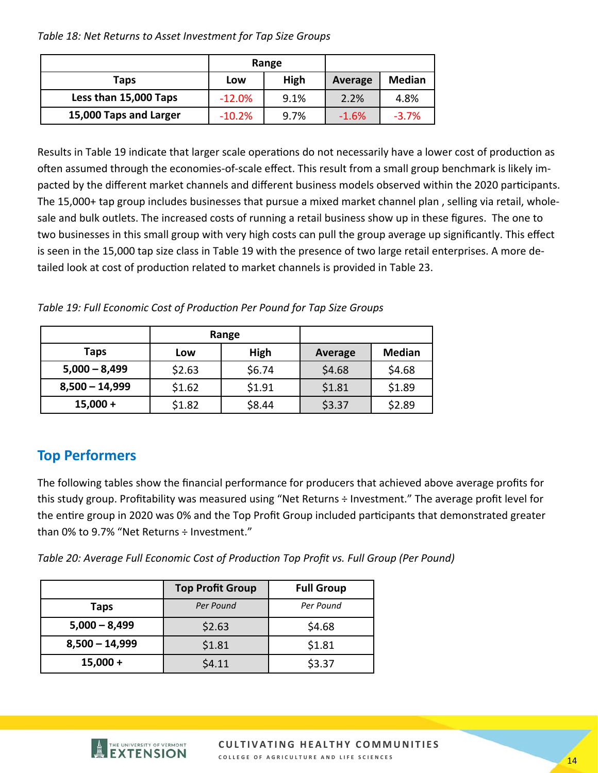*Table 18: Net Returns to Asset Investment for Tap Size Groups* 

|                        |          | Range |         |               |
|------------------------|----------|-------|---------|---------------|
| Taps                   | Low      | High  | Average | <b>Median</b> |
| Less than 15,000 Taps  | $-12.0%$ | 9.1%  | 2.2%    | 4.8%          |
| 15,000 Taps and Larger | $-10.2%$ | 9.7%  | $-1.6%$ | $-3.7%$       |

Results in Table 19 indicate that larger scale operations do not necessarily have a lower cost of production as often assumed through the economies-of-scale effect. This result from a small group benchmark is likely impacted by the different market channels and different business models observed within the 2020 participants. The 15,000+ tap group includes businesses that pursue a mixed market channel plan , selling via retail, whole‐ sale and bulk outlets. The increased costs of running a retail business show up in these figures. The one to two businesses in this small group with very high costs can pull the group average up significantly. This effect is seen in the 15,000 tap size class in Table 19 with the presence of two large retail enterprises. A more de‐ tailed look at cost of production related to market channels is provided in Table 23.

**Table 19: Full Economic Cost of Production Per Pound for Tap Size Groups** 

|                  | Range  |        |                |               |
|------------------|--------|--------|----------------|---------------|
| <b>Taps</b>      | Low    | High   | <b>Average</b> | <b>Median</b> |
| $5,000 - 8,499$  | \$2.63 | \$6.74 | \$4.68         | \$4.68        |
| $8,500 - 14,999$ | \$1.62 | \$1.91 | \$1.81         | \$1.89        |
| $15,000 +$       | \$1.82 | \$8.44 | \$3.37         | \$2.89        |

# **Top Performers**

The following tables show the financial performance for producers that achieved above average profits for this study group. Profitability was measured using "Net Returns ÷ Investment." The average profit level for the entire group in 2020 was 0% and the Top Profit Group included participants that demonstrated greater than 0% to 9.7% "Net Returns ÷ Investment."

Table 20: Average Full Economic Cost of Production Top Profit vs. Full Group (Per Pound)

|                  | <b>Top Profit Group</b> | <b>Full Group</b> |
|------------------|-------------------------|-------------------|
| Taps             | Per Pound               | Per Pound         |
| $5,000 - 8,499$  | \$2.63                  | \$4.68            |
| $8,500 - 14,999$ | \$1.81                  | \$1.81            |
| $15,000 +$       | \$4.11                  | \$3.37            |

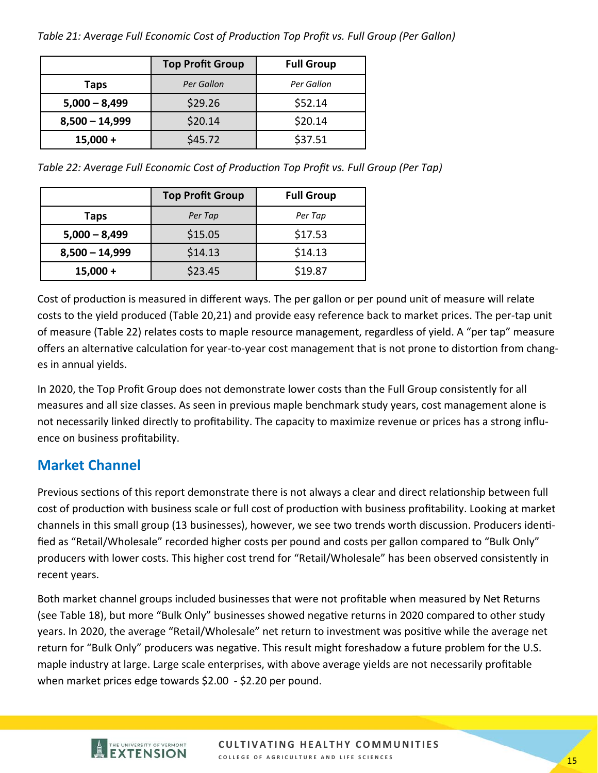*Table 21: Average Full Economic Cost of ProducƟon Top Profit vs. Full Group (Per Gallon)* 

|                    | <b>Top Profit Group</b> | <b>Full Group</b> |  |
|--------------------|-------------------------|-------------------|--|
| Per Gallon<br>Taps |                         | Per Gallon        |  |
| $5,000 - 8,499$    | \$29.26                 | \$52.14           |  |
| $8,500 - 14,999$   | \$20.14                 |                   |  |
| $15,000 +$         | \$45.72                 | \$37.51           |  |

*Table 22: Average Full Economic Cost of ProducƟon Top Profit vs. Full Group (Per Tap)* 

|                  | <b>Top Profit Group</b> | <b>Full Group</b> |
|------------------|-------------------------|-------------------|
| Taps             | Per Tap                 | Per Tap           |
| $5,000 - 8,499$  | \$15.05                 | \$17.53           |
| $8,500 - 14,999$ | \$14.13                 | \$14.13           |
| $15,000 +$       | \$23.45                 | \$19.87           |

Cost of production is measured in different ways. The per gallon or per pound unit of measure will relate costs to the yield produced (Table 20,21) and provide easy reference back to market prices. The per‐tap unit of measure (Table 22) relates costs to maple resource management, regardless of yield. A "per tap" measure offers an alternative calculation for year-to-year cost management that is not prone to distortion from changes in annual yields.

In 2020, the Top Profit Group does not demonstrate lower costs than the Full Group consistently for all measures and all size classes. As seen in previous maple benchmark study years, cost management alone is not necessarily linked directly to profitability. The capacity to maximize revenue or prices has a strong influ‐ ence on business profitability.

# **Market Channel**

Previous sections of this report demonstrate there is not always a clear and direct relationship between full cost of production with business scale or full cost of production with business profitability. Looking at market channels in this small group (13 businesses), however, we see two trends worth discussion. Producers identified as "Retail/Wholesale" recorded higher costs per pound and costs per gallon compared to "Bulk Only" producers with lower costs. This higher cost trend for "Retail/Wholesale" has been observed consistently in recent years.

Both market channel groups included businesses that were not profitable when measured by Net Returns (see Table 18), but more "Bulk Only" businesses showed negative returns in 2020 compared to other study years. In 2020, the average "Retail/Wholesale" net return to investment was positive while the average net return for "Bulk Only" producers was negative. This result might foreshadow a future problem for the U.S. maple industry at large. Large scale enterprises, with above average yields are not necessarily profitable when market prices edge towards \$2.00 ‐ \$2.20 per pound.